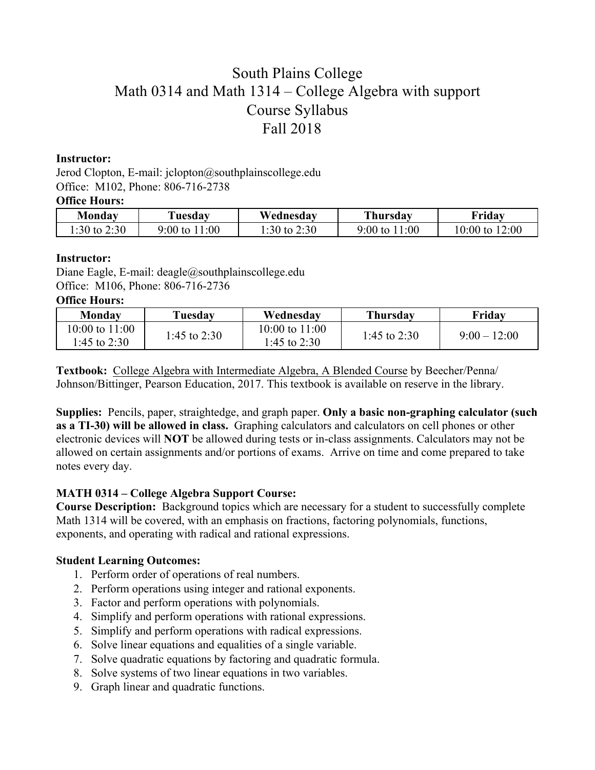# South Plains College Math 0314 and Math 1314 – College Algebra with support Course Syllabus Fall 2018

### **Instructor:**

Jerod Clopton, E-mail: jclopton@southplainscollege.edu Office: M102, Phone: 806-716-2738

#### **Office Hours:**

| Mondav       | Tuesday           | Wednesdav      | <b>Thursday</b>   | Fridav                |
|--------------|-------------------|----------------|-------------------|-----------------------|
| .:30 to 2:30 | 1:00<br>9:00 to 1 | 1:30 to $2:30$ | $9:00$ to $11:00$ | 12:00<br>$10:00$ to 1 |

### **Instructor:**

Diane Eagle, E-mail: deagle@southplainscollege.edu Office: M106, Phone: 806-716-2736

# **Office Hours:**

| Monday                         | Tuesdav      | Wednesday                          | <b>Thursday</b> | Friday         |
|--------------------------------|--------------|------------------------------------|-----------------|----------------|
| 10:00 to 11:00<br>1:45 to 2:30 | 1:45 to 2:30 | $10:00$ to $11:00$<br>1:45 to 2:30 | 1:45 to $2:30$  | $9.00 - 12.00$ |

**Textbook:** College Algebra with Intermediate Algebra, A Blended Course by Beecher/Penna/ Johnson/Bittinger, Pearson Education, 2017. This textbook is available on reserve in the library.

**Supplies:** Pencils, paper, straightedge, and graph paper. **Only a basic non-graphing calculator (such as a TI-30) will be allowed in class.** Graphing calculators and calculators on cell phones or other electronic devices will **NOT** be allowed during tests or in-class assignments. Calculators may not be allowed on certain assignments and/or portions of exams. Arrive on time and come prepared to take notes every day.

## **MATH 0314 – College Algebra Support Course:**

**Course Description:** Background topics which are necessary for a student to successfully complete Math 1314 will be covered, with an emphasis on fractions, factoring polynomials, functions, exponents, and operating with radical and rational expressions.

## **Student Learning Outcomes:**

- 1. Perform order of operations of real numbers.
- 2. Perform operations using integer and rational exponents.
- 3. Factor and perform operations with polynomials.
- 4. Simplify and perform operations with rational expressions.
- 5. Simplify and perform operations with radical expressions.
- 6. Solve linear equations and equalities of a single variable.
- 7. Solve quadratic equations by factoring and quadratic formula.
- 8. Solve systems of two linear equations in two variables.
- 9. Graph linear and quadratic functions.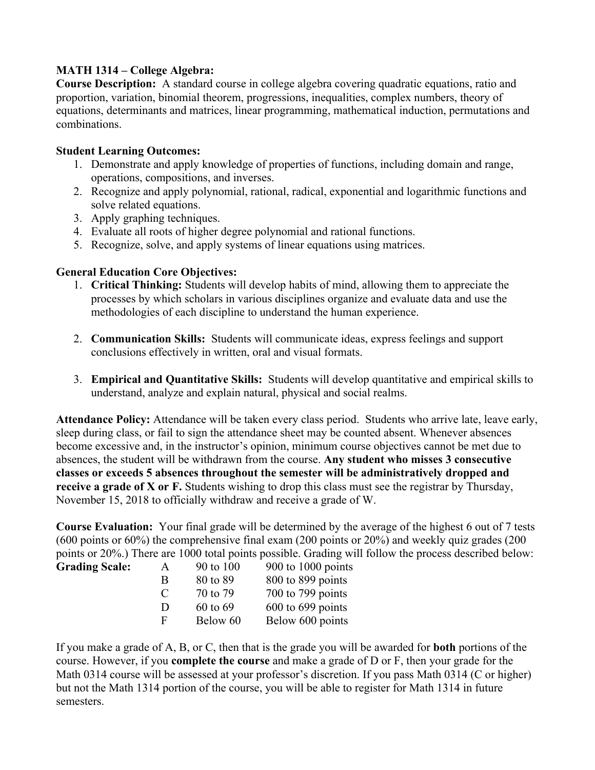# **MATH 1314 – College Algebra:**

**Course Description:** A standard course in college algebra covering quadratic equations, ratio and proportion, variation, binomial theorem, progressions, inequalities, complex numbers, theory of equations, determinants and matrices, linear programming, mathematical induction, permutations and combinations.

# **Student Learning Outcomes:**

- 1. Demonstrate and apply knowledge of properties of functions, including domain and range, operations, compositions, and inverses.
- 2. Recognize and apply polynomial, rational, radical, exponential and logarithmic functions and solve related equations.
- 3. Apply graphing techniques.
- 4. Evaluate all roots of higher degree polynomial and rational functions.
- 5. Recognize, solve, and apply systems of linear equations using matrices.

# **General Education Core Objectives:**

Grading

- 1. **Critical Thinking:** Students will develop habits of mind, allowing them to appreciate the processes by which scholars in various disciplines organize and evaluate data and use the methodologies of each discipline to understand the human experience.
- 2. **Communication Skills:** Students will communicate ideas, express feelings and support conclusions effectively in written, oral and visual formats.
- 3. **Empirical and Quantitative Skills:** Students will develop quantitative and empirical skills to understand, analyze and explain natural, physical and social realms.

**Attendance Policy:** Attendance will be taken every class period. Students who arrive late, leave early, sleep during class, or fail to sign the attendance sheet may be counted absent. Whenever absences become excessive and, in the instructor's opinion, minimum course objectives cannot be met due to absences, the student will be withdrawn from the course. **Any student who misses 3 consecutive classes or exceeds 5 absences throughout the semester will be administratively dropped and receive a grade of X or F.** Students wishing to drop this class must see the registrar by Thursday, November 15, 2018 to officially withdraw and receive a grade of W.

**Course Evaluation:** Your final grade will be determined by the average of the highest 6 out of 7 tests (600 points or 60%) the comprehensive final exam (200 points or 20%) and weekly quiz grades (200 points or 20%.) There are 1000 total points possible. Grading will follow the process described below:

| <b>Scale:</b> | $\mathsf{A}$ | 90 to 100 | $900$ to $1000$ points |
|---------------|--------------|-----------|------------------------|
|               | B            | 80 to 89  | 800 to 899 points      |
|               | $\Gamma$     | 70 to 79  | $700$ to $799$ points  |
|               | D            | 60 to 69  | $600$ to $699$ points  |
|               | F            | Below 60  | Below 600 points       |
|               |              |           |                        |

If you make a grade of A, B, or C, then that is the grade you will be awarded for **both** portions of the course. However, if you **complete the course** and make a grade of D or F, then your grade for the Math 0314 course will be assessed at your professor's discretion. If you pass Math 0314 (C or higher) but not the Math 1314 portion of the course, you will be able to register for Math 1314 in future semesters.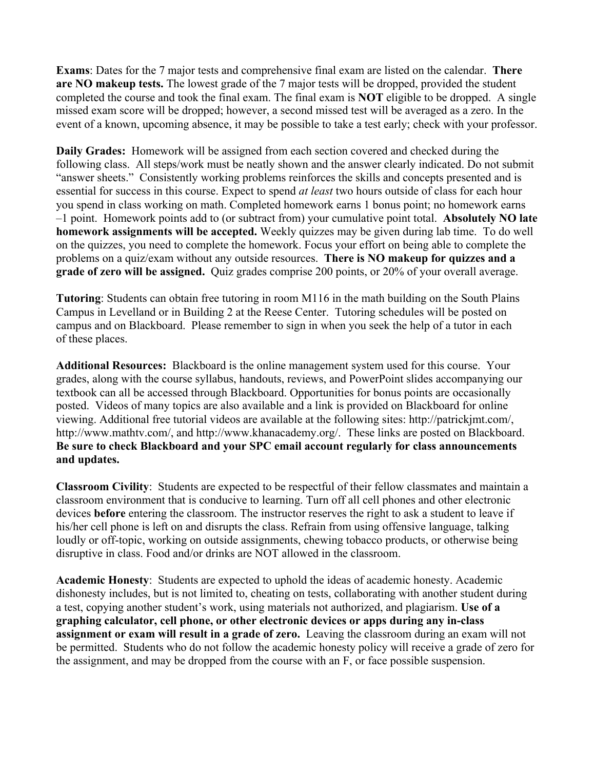**Exams**: Dates for the 7 major tests and comprehensive final exam are listed on the calendar. **There are NO makeup tests.** The lowest grade of the 7 major tests will be dropped, provided the student completed the course and took the final exam. The final exam is **NOT** eligible to be dropped. A single missed exam score will be dropped; however, a second missed test will be averaged as a zero. In the event of a known, upcoming absence, it may be possible to take a test early; check with your professor.

**Daily Grades:** Homework will be assigned from each section covered and checked during the following class. All steps/work must be neatly shown and the answer clearly indicated. Do not submit "answer sheets." Consistently working problems reinforces the skills and concepts presented and is essential for success in this course. Expect to spend *at least* two hours outside of class for each hour you spend in class working on math. Completed homework earns 1 bonus point; no homework earns –1 point. Homework points add to (or subtract from) your cumulative point total. **Absolutely NO late homework assignments will be accepted.** Weekly quizzes may be given during lab time. To do well on the quizzes, you need to complete the homework. Focus your effort on being able to complete the problems on a quiz/exam without any outside resources. **There is NO makeup for quizzes and a grade of zero will be assigned.** Quiz grades comprise 200 points, or 20% of your overall average.

**Tutoring**: Students can obtain free tutoring in room M116 in the math building on the South Plains Campus in Levelland or in Building 2 at the Reese Center. Tutoring schedules will be posted on campus and on Blackboard. Please remember to sign in when you seek the help of a tutor in each of these places.

**Additional Resources:** Blackboard is the online management system used for this course. Your grades, along with the course syllabus, handouts, reviews, and PowerPoint slides accompanying our textbook can all be accessed through Blackboard. Opportunities for bonus points are occasionally posted. Videos of many topics are also available and a link is provided on Blackboard for online viewing. Additional free tutorial videos are available at the following sites: http://patrickjmt.com/, http://www.mathtv.com/, and http://www.khanacademy.org/. These links are posted on Blackboard. **Be sure to check Blackboard and your SPC email account regularly for class announcements and updates.**

**Classroom Civility**:Students are expected to be respectful of their fellow classmates and maintain a classroom environment that is conducive to learning. Turn off all cell phones and other electronic devices **before** entering the classroom. The instructor reserves the right to ask a student to leave if his/her cell phone is left on and disrupts the class. Refrain from using offensive language, talking loudly or off-topic, working on outside assignments, chewing tobacco products, or otherwise being disruptive in class. Food and/or drinks are NOT allowed in the classroom.

**Academic Honesty**: Students are expected to uphold the ideas of academic honesty. Academic dishonesty includes, but is not limited to, cheating on tests, collaborating with another student during a test, copying another student's work, using materials not authorized, and plagiarism. **Use of a graphing calculator, cell phone, or other electronic devices or apps during any in-class assignment or exam will result in a grade of zero.** Leaving the classroom during an exam will not be permitted. Students who do not follow the academic honesty policy will receive a grade of zero for the assignment, and may be dropped from the course with an F, or face possible suspension.